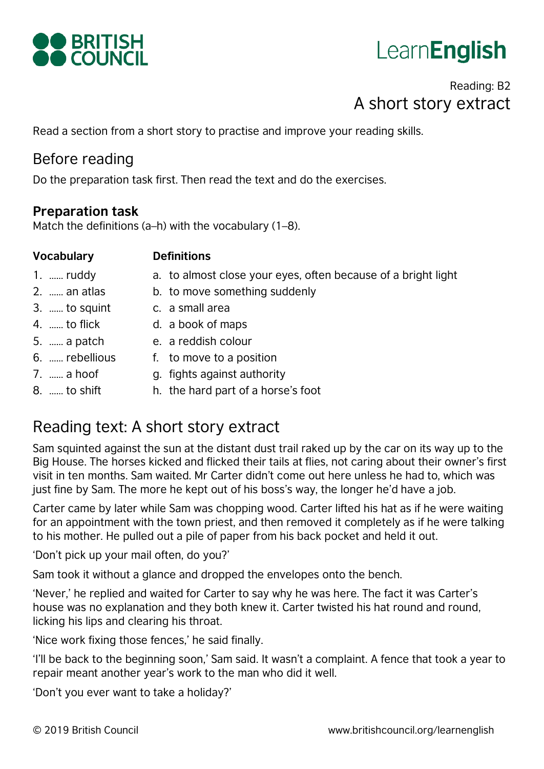

# **LearnEnglish**

# Reading: B2 A short story extract

Read a section from a short story to practise and improve your reading skills.

## Before reading

Do the preparation task first. Then read the text and do the exercises.

#### **Preparation task**

Match the definitions (a–h) with the vocabulary (1–8).

| <b>Vocabulary</b>    | <b>Definitions</b>                                            |
|----------------------|---------------------------------------------------------------|
| $1. \dots$ ruddy     | a. to almost close your eyes, often because of a bright light |
| 2.  an atlas         | b. to move something suddenly                                 |
| $3. \dots$ to squint | c. a small area                                               |
| 4.  to flick         | d. a book of maps                                             |
| 5.  a patch          | e. a reddish colour                                           |
| 6.  rebellious       | f. to move to a position                                      |
| 7.  a hoof           | g. fights against authority                                   |
| 8.  to shift         | h. the hard part of a horse's foot                            |

# Reading text: A short story extract

Sam squinted against the sun at the distant dust trail raked up by the car on its way up to the Big House. The horses kicked and flicked their tails at flies, not caring about their owner's first visit in ten months. Sam waited. Mr Carter didn't come out here unless he had to, which was just fine by Sam. The more he kept out of his boss's way, the longer he'd have a job.

Carter came by later while Sam was chopping wood. Carter lifted his hat as if he were waiting for an appointment with the town priest, and then removed it completely as if he were talking to his mother. He pulled out a pile of paper from his back pocket and held it out.

'Don't pick up your mail often, do you?'

Sam took it without a glance and dropped the envelopes onto the bench.

'Never,' he replied and waited for Carter to say why he was here. The fact it was Carter's house was no explanation and they both knew it. Carter twisted his hat round and round, licking his lips and clearing his throat.

'Nice work fixing those fences,' he said finally.

'I'll be back to the beginning soon,' Sam said. It wasn't a complaint. A fence that took a year to repair meant another year's work to the man who did it well.

'Don't you ever want to take a holiday?'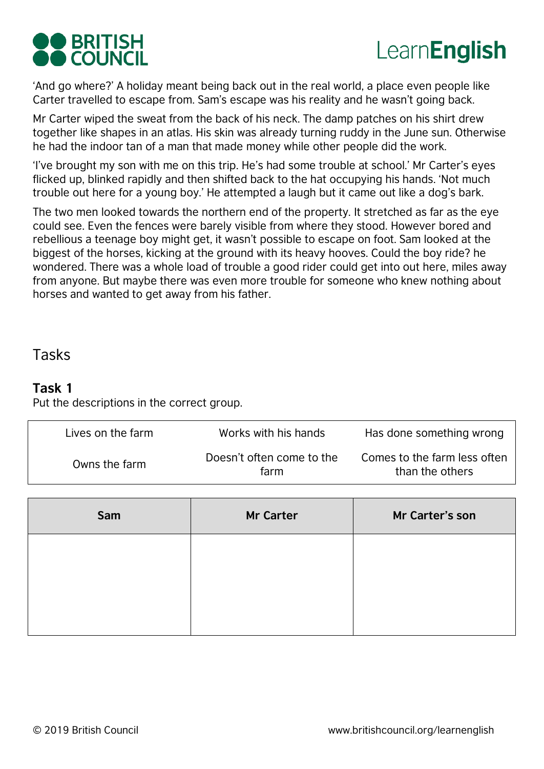# **O** BRITISH COUNCIL

# Learn**English**

'And go where?' A holiday meant being back out in the real world, a place even people like Carter travelled to escape from. Sam's escape was his reality and he wasn't going back.

Mr Carter wiped the sweat from the back of his neck. The damp patches on his shirt drew together like shapes in an atlas. His skin was already turning ruddy in the June sun. Otherwise he had the indoor tan of a man that made money while other people did the work.

'I've brought my son with me on this trip. He's had some trouble at school.' Mr Carter's eyes flicked up, blinked rapidly and then shifted back to the hat occupying his hands. 'Not much trouble out here for a young boy.' He attempted a laugh but it came out like a dog's bark.

The two men looked towards the northern end of the property. It stretched as far as the eye could see. Even the fences were barely visible from where they stood. However bored and rebellious a teenage boy might get, it wasn't possible to escape on foot. Sam looked at the biggest of the horses, kicking at the ground with its heavy hooves. Could the boy ride? he wondered. There was a whole load of trouble a good rider could get into out here, miles away from anyone. But maybe there was even more trouble for someone who knew nothing about horses and wanted to get away from his father.

### Tasks

#### **Task 1**

Put the descriptions in the correct group.

| Lives on the farm | Works with his hands              | Has done something wrong                        |
|-------------------|-----------------------------------|-------------------------------------------------|
| Owns the farm     | Doesn't often come to the<br>farm | Comes to the farm less often<br>than the others |

| Sam | <b>Mr Carter</b> | Mr Carter's son |
|-----|------------------|-----------------|
|     |                  |                 |
|     |                  |                 |
|     |                  |                 |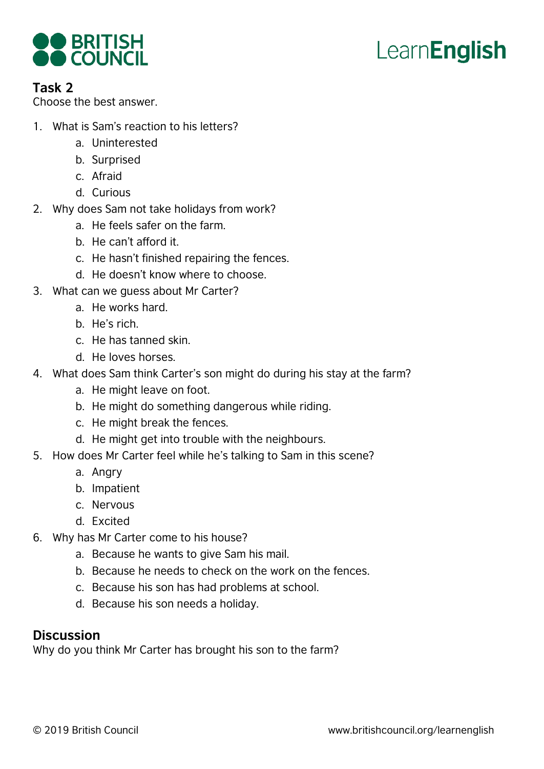

# **LearnEnglish**

#### **Task 2**

Choose the best answer.

- 1. What is Sam's reaction to his letters?
	- a. Uninterested
	- b. Surprised
	- c. Afraid
	- d. Curious
- 2. Why does Sam not take holidays from work?
	- a. He feels safer on the farm.
	- b. He can't afford it.
	- c. He hasn't finished repairing the fences.
	- d. He doesn't know where to choose.
- 3. What can we guess about Mr Carter?
	- a. He works hard.
	- b. He's rich.
	- c. He has tanned skin.
	- d. He loves horses.
- 4. What does Sam think Carter's son might do during his stay at the farm?
	- a. He might leave on foot.
	- b. He might do something dangerous while riding.
	- c. He might break the fences.
	- d. He might get into trouble with the neighbours.
- 5. How does Mr Carter feel while he's talking to Sam in this scene?
	- a. Angry
	- b. Impatient
	- c. Nervous
	- d. Excited
- 6. Why has Mr Carter come to his house?
	- a. Because he wants to give Sam his mail.
	- b. Because he needs to check on the work on the fences.
	- c. Because his son has had problems at school.
	- d. Because his son needs a holiday.

#### **Discussion**

Why do you think Mr Carter has brought his son to the farm?